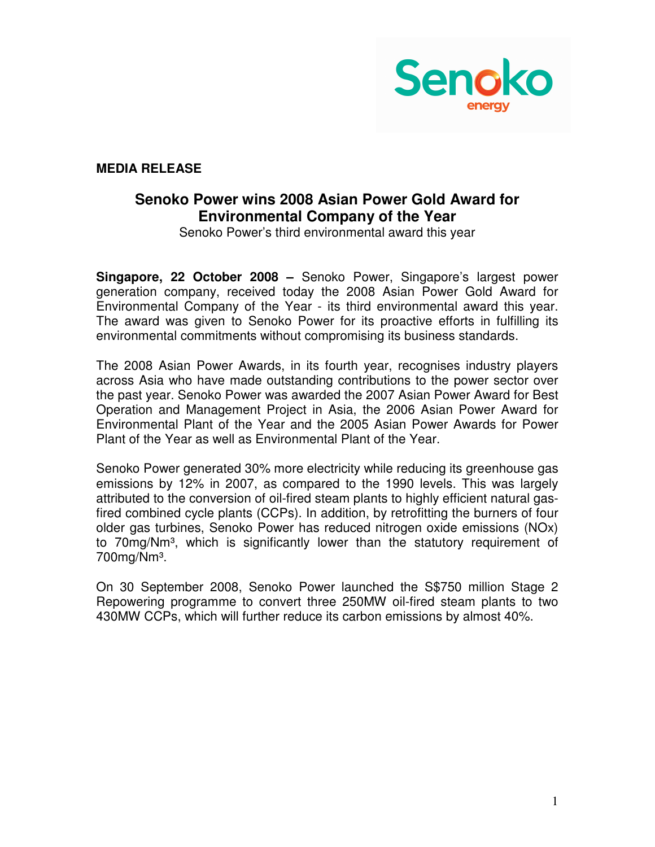

**MEDIA RELEASE** 

## **Senoko Power wins 2008 Asian Power Gold Award for Environmental Company of the Year**

Senoko Power's third environmental award this year

**Singapore, 22 October 2008 –** Senoko Power, Singapore's largest power generation company, received today the 2008 Asian Power Gold Award for Environmental Company of the Year - its third environmental award this year. The award was given to Senoko Power for its proactive efforts in fulfilling its environmental commitments without compromising its business standards.

The 2008 Asian Power Awards, in its fourth year, recognises industry players across Asia who have made outstanding contributions to the power sector over the past year. Senoko Power was awarded the 2007 Asian Power Award for Best Operation and Management Project in Asia, the 2006 Asian Power Award for Environmental Plant of the Year and the 2005 Asian Power Awards for Power Plant of the Year as well as Environmental Plant of the Year.

Senoko Power generated 30% more electricity while reducing its greenhouse gas emissions by 12% in 2007, as compared to the 1990 levels. This was largely attributed to the conversion of oil-fired steam plants to highly efficient natural gasfired combined cycle plants (CCPs). In addition, by retrofitting the burners of four older gas turbines, Senoko Power has reduced nitrogen oxide emissions (NOx) to 70mg/Nm<sup>3</sup>, which is significantly lower than the statutory requirement of 700mg/Nm³.

On 30 September 2008, Senoko Power launched the S\$750 million Stage 2 Repowering programme to convert three 250MW oil-fired steam plants to two 430MW CCPs, which will further reduce its carbon emissions by almost 40%.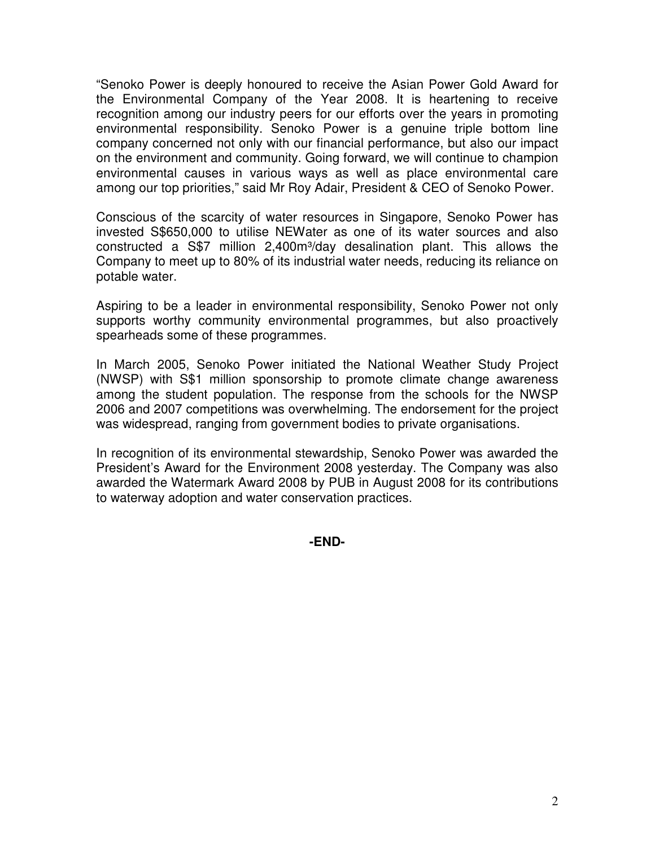"Senoko Power is deeply honoured to receive the Asian Power Gold Award for the Environmental Company of the Year 2008. It is heartening to receive recognition among our industry peers for our efforts over the years in promoting environmental responsibility. Senoko Power is a genuine triple bottom line company concerned not only with our financial performance, but also our impact on the environment and community. Going forward, we will continue to champion environmental causes in various ways as well as place environmental care among our top priorities," said Mr Roy Adair, President & CEO of Senoko Power.

Conscious of the scarcity of water resources in Singapore, Senoko Power has invested S\$650,000 to utilise NEWater as one of its water sources and also constructed a S\$7 million 2,400m<sup>3</sup>/day desalination plant. This allows the Company to meet up to 80% of its industrial water needs, reducing its reliance on potable water.

Aspiring to be a leader in environmental responsibility, Senoko Power not only supports worthy community environmental programmes, but also proactively spearheads some of these programmes.

In March 2005, Senoko Power initiated the National Weather Study Project (NWSP) with S\$1 million sponsorship to promote climate change awareness among the student population. The response from the schools for the NWSP 2006 and 2007 competitions was overwhelming. The endorsement for the project was widespread, ranging from government bodies to private organisations.

In recognition of its environmental stewardship, Senoko Power was awarded the President's Award for the Environment 2008 yesterday. The Company was also awarded the Watermark Award 2008 by PUB in August 2008 for its contributions to waterway adoption and water conservation practices.

**-END-**